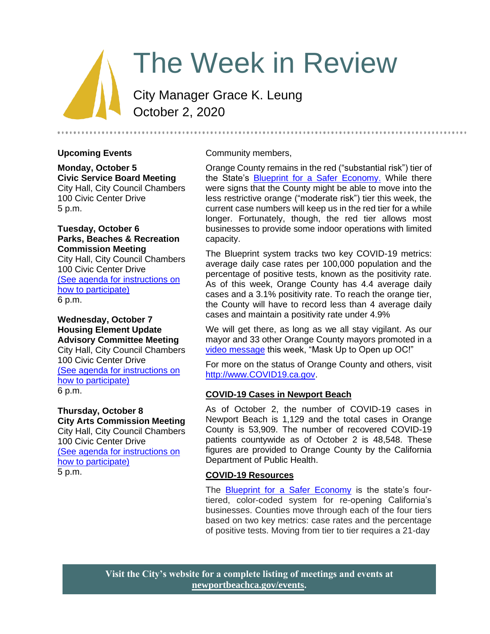# The Week in Review

City Manager Grace K. Leung October 2, 2020

## **Upcoming Events**

**Monday, October 5 Civic Service Board Meeting** City Hall, City Council Chambers 100 Civic Center Drive 5 p.m.

**Tuesday, October 6 Parks, Beaches & Recreation Commission Meeting** City Hall, City Council Chambers 100 Civic Center Drive [\(See agenda for instructions on](https://www.newportbeachca.gov/Home/Components/Calendar/Event/52459/72) 

[how to participate\)](https://www.newportbeachca.gov/Home/Components/Calendar/Event/52459/72) 6 p.m.

## **Wednesday, October 7 Housing Element Update Advisory Committee Meeting** City Hall, City Council Chambers 100 Civic Center Drive [\(See agenda for instructions on](https://www.newportbeachca.gov/government/open-government/agendas-minutes/balboa-village-advisory-committee-agenda-bvac)  [how to participate\)](https://www.newportbeachca.gov/government/open-government/agendas-minutes/balboa-village-advisory-committee-agenda-bvac) 6 p.m.

## **Thursday, October 8**

**City Arts Commission Meeting** City Hall, City Council Chambers 100 Civic Center Drive [\(See agenda for instructions on](https://www.newportbeachca.gov/Home/Components/Calendar/Event/58885/72)  [how to participate\)](https://www.newportbeachca.gov/Home/Components/Calendar/Event/58885/72) 5 p.m.

## Community members,

Orange County remains in the red ("substantial risk") tier of the State's [Blueprint for a Safer Economy.](https://covid19.ca.gov/safer-economy/) While there were signs that the County might be able to move into the less restrictive orange ("moderate risk") tier this week, the current case numbers will keep us in the red tier for a while longer. Fortunately, though, the red tier allows most businesses to provide some indoor operations with limited capacity.

The Blueprint system tracks two key COVID-19 metrics: average daily case rates per 100,000 population and the percentage of positive tests, known as the positivity rate. As of this week, Orange County has 4.4 average daily cases and a 3.1% positivity rate. To reach the orange tier, the County will have to record less than 4 average daily cases and maintain a positivity rate under 4.9%

We will get there, as long as we all stay vigilant. As our mayor and 33 other Orange County mayors promoted in a [video message](https://www.youtube.com/watch?v=44VFolnose8&feature=youtu.be) this week, "Mask Up to Open up OC!"

For more on the status of Orange County and others, visit [http://www.COVID19.ca.gov.](http://www.covid19.ca.gov/)

## **COVID-19 Cases in Newport Beach**

As of October 2, the number of COVID-19 cases in Newport Beach is 1,129 and the total cases in Orange County is 53,909. The number of recovered COVID-19 patients countywide as of October 2 is 48,548. These figures are provided to Orange County by the California Department of Public Health.

## **COVID-19 Resources**

The **Blueprint for a Safer Economy** is the state's fourtiered, color-coded system for re-opening California's businesses. Counties move through each of the four tiers based on two key metrics: case rates and the percentage of positive tests. Moving from tier to tier requires a 21-day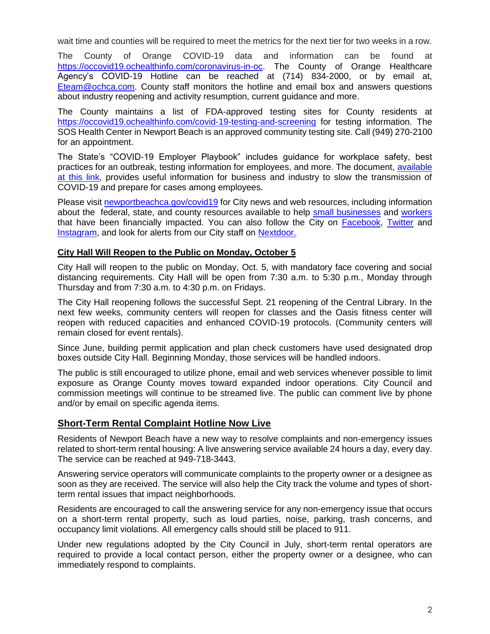wait time and counties will be required to meet the metrics for the next tier for two weeks in a row.

The County of Orange COVID-19 data and information can be found at [https://occovid19.ochealthinfo.com/coronavirus-in-oc.](https://occovid19.ochealthinfo.com/coronavirus-in-oc) The County of Orange Healthcare Agency's COVID-19 Hotline can be reached at (714) 834-2000, or by email at, [Eteam@ochca.com.](mailto:Eteam@ochca.com) County staff monitors the hotline and email box and answers questions about industry reopening and activity resumption, current guidance and more.

The County maintains a list of FDA-approved testing sites for County residents at <https://occovid19.ochealthinfo.com/covid-19-testing-and-screening> for testing information. The SOS Health Center in Newport Beach is an approved community testing site. Call (949) 270-2100 for an appointment.

The State's "COVID-19 Employer Playbook" includes guidance for workplace safety, best practices for an outbreak, testing information for employees, and more. The document, [available](https://files.covid19.ca.gov/pdf/employer-playbook-for-safe-reopening--en.pdf)  [at this link,](https://files.covid19.ca.gov/pdf/employer-playbook-for-safe-reopening--en.pdf) provides useful information for business and industry to slow the transmission of COVID-19 and prepare for cases among employees.

Please visit [newportbeachca.gov/covid19](https://www.newportbeachca.gov/how-do-i/find/disaster-preparedness-information/disease-outbreak/-fsiteid-1) for City news and web resources, including information about the federal, state, and county resources available to help [small businesses](https://www.newportbeachca.gov/government/departments/city-manager/economic-development/small-business-support) and [workers](https://www.newportbeachca.gov/government/departments/city-manager/economic-development/support-for-employees) that have been financially impacted. You can also follow the City on [Facebook,](https://www.facebook.com/pg/CityofNewportBeach) [Twitter](https://twitter.com/newportbeachgov) and [Instagram,](https://www.instagram.com/cityofnewportbeach/) and look for alerts from our City staff on [Nextdoor.](https://nextdoor.com/agency/city-of-newport-beach/?i=ltdytbjdbdkntfqttgcm)

## **City Hall Will Reopen to the Public on Monday, October 5**

City Hall will reopen to the public on Monday, Oct. 5, with mandatory face covering and social distancing requirements. City Hall will be open from 7:30 a.m. to 5:30 p.m., Monday through Thursday and from 7:30 a.m. to 4:30 p.m. on Fridays.

The City Hall reopening follows the successful Sept. 21 reopening of the Central Library. In the next few weeks, community centers will reopen for classes and the Oasis fitness center will reopen with reduced capacities and enhanced COVID-19 protocols. (Community centers will remain closed for event rentals).

Since June, building permit application and plan check customers have used designated drop boxes outside City Hall. Beginning Monday, those services will be handled indoors.

The public is still encouraged to utilize phone, email and web services whenever possible to limit exposure as Orange County moves toward expanded indoor operations. City Council and commission meetings will continue to be streamed live. The public can comment live by phone and/or by email on specific agenda items.

## **Short-Term Rental Complaint Hotline Now Live**

Residents of Newport Beach have a new way to resolve complaints and non-emergency issues related to short-term rental housing: A live answering service available 24 hours a day, every day. The service can be reached at 949-718-3443.

Answering service operators will communicate complaints to the property owner or a designee as soon as they are received. The service will also help the City track the volume and types of shortterm rental issues that impact neighborhoods.

Residents are encouraged to call the answering service for any non-emergency issue that occurs on a short-term rental property, such as loud parties, noise, parking, trash concerns, and occupancy limit violations. All emergency calls should still be placed to 911.

Under new regulations adopted by the City Council in July, short-term rental operators are required to provide a local contact person, either the property owner or a designee, who can immediately respond to complaints.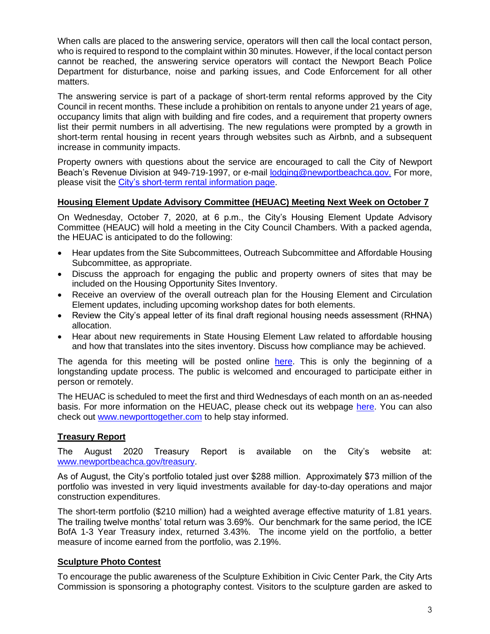When calls are placed to the answering service, operators will then call the local contact person, who is required to respond to the complaint within 30 minutes. However, if the local contact person cannot be reached, the answering service operators will contact the Newport Beach Police Department for disturbance, noise and parking issues, and Code Enforcement for all other matters.

The answering service is part of a package of short-term rental reforms approved by the City Council in recent months. These include a prohibition on rentals to anyone under 21 years of age, occupancy limits that align with building and fire codes, and a requirement that property owners list their permit numbers in all advertising. The new regulations were prompted by a growth in short-term rental housing in recent years through websites such as Airbnb, and a subsequent increase in community impacts.

Property owners with questions about the service are encouraged to call the City of Newport Beach's Revenue Division at 949-719-1997, or e-mail [lodging@newportbeachca.gov.](mailto:lodging@newportbeachca.gov) For more, please visit the [City's short-term rental information page.](https://www.newportbeachca.gov/government/departments/finance/revenue-division/short-term-rentals)

## **Housing Element Update Advisory Committee (HEUAC) Meeting Next Week on October 7**

On Wednesday, October 7, 2020, at 6 p.m., the City's Housing Element Update Advisory Committee (HEAUC) will hold a meeting in the City Council Chambers. With a packed agenda, the HEUAC is anticipated to do the following:

- Hear updates from the Site Subcommittees, Outreach Subcommittee and Affordable Housing Subcommittee, as appropriate.
- Discuss the approach for engaging the public and property owners of sites that may be included on the Housing Opportunity Sites Inventory.
- Receive an overview of the overall outreach plan for the Housing Element and Circulation Element updates, including upcoming workshop dates for both elements.
- Review the City's appeal letter of its final draft regional housing needs assessment (RHNA) allocation.
- Hear about new requirements in State Housing Element Law related to affordable housing and how that translates into the sites inventory. Discuss how compliance may be achieved.

The agenda for this meeting will be posted online [here.](https://www.newportbeachca.gov/Pln/Housing_Element_Update_Advisory_Committee/current_agenda.pdf) This is only the beginning of a longstanding update process. The public is welcomed and encouraged to participate either in person or remotely.

The HEUAC is scheduled to meet the first and third Wednesdays of each month on an as-needed basis. For more information on the HEUAC, please check out its webpage [here.](https://www.newportbeachca.gov/government/data-hub/agendas-minutes/housing-element-update-advisory-committee) You can also check out [www.newporttogether.com](http://www.newporttogether.com/) to help stay informed.

## **Treasury Report**

The August 2020 Treasury Report is available on the City's website at: [www.newportbeachca.gov/treasury.](http://www.newportbeachca.gov/treasury)

As of August, the City's portfolio totaled just over \$288 million. Approximately \$73 million of the portfolio was invested in very liquid investments available for day-to-day operations and major construction expenditures.

The short-term portfolio (\$210 million) had a weighted average effective maturity of 1.81 years. The trailing twelve months' total return was 3.69%. Our benchmark for the same period, the ICE BofA 1-3 Year Treasury index, returned 3.43%. The income yield on the portfolio, a better measure of income earned from the portfolio, was 2.19%.

### **Sculpture Photo Contest**

To encourage the public awareness of the Sculpture Exhibition in Civic Center Park, the City Arts Commission is sponsoring a photography contest. Visitors to the sculpture garden are asked to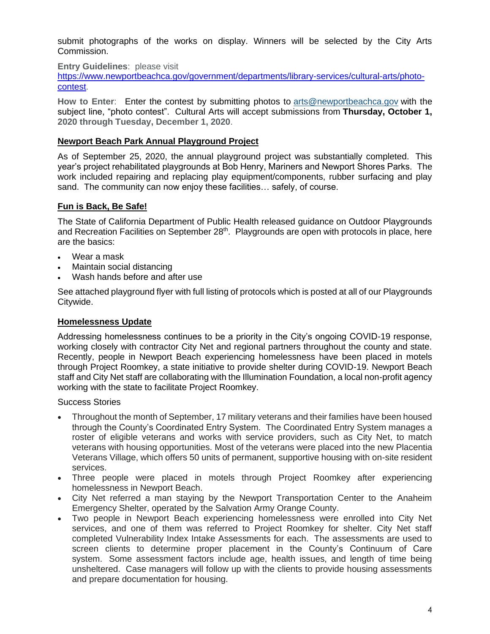submit photographs of the works on display. Winners will be selected by the City Arts Commission.

**Entry Guidelines**: please visit

[https://www.newportbeachca.gov/government/departments/library-services/cultural-arts/photo](https://www.newportbeachca.gov/government/departments/library-services/cultural-arts/photo-contest)[contest.](https://www.newportbeachca.gov/government/departments/library-services/cultural-arts/photo-contest)

**How to Enter**: Enter the contest by submitting photos to [arts@newportbeachca.gov](mailto:arts@newportbeachca.gov) with the subject line, "photo contest". Cultural Arts will accept submissions from **Thursday, October 1, 2020 through Tuesday, December 1, 2020**.

## **Newport Beach Park Annual Playground Project**

As of September 25, 2020, the annual playground project was substantially completed. This year's project rehabilitated playgrounds at Bob Henry, Mariners and Newport Shores Parks. The work included repairing and replacing play equipment/components, rubber surfacing and play sand. The community can now enjoy these facilities… safely, of course.

## **Fun is Back, Be Safe!**

The State of California Department of Public Health released guidance on Outdoor Playgrounds and Recreation Facilities on September 28<sup>th</sup>. Playgrounds are open with protocols in place, here are the basics:

- Wear a mask
- Maintain social distancing
- Wash hands before and after use

See attached playground flyer with full listing of protocols which is posted at all of our Playgrounds Citywide.

### **Homelessness Update**

Addressing homelessness continues to be a priority in the City's ongoing COVID-19 response, working closely with contractor City Net and regional partners throughout the county and state. Recently, people in Newport Beach experiencing homelessness have been placed in motels through Project Roomkey, a state initiative to provide shelter during COVID-19. Newport Beach staff and City Net staff are collaborating with the Illumination Foundation, a local non-profit agency working with the state to facilitate Project Roomkey.

Success Stories

- Throughout the month of September, 17 military veterans and their families have been housed through the County's Coordinated Entry System. The Coordinated Entry System manages a roster of eligible veterans and works with service providers, such as City Net, to match veterans with housing opportunities. Most of the veterans were placed into the new Placentia Veterans Village, which offers 50 units of permanent, supportive housing with on-site resident services.
- Three people were placed in motels through Project Roomkey after experiencing homelessness in Newport Beach.
- City Net referred a man staying by the Newport Transportation Center to the Anaheim Emergency Shelter, operated by the Salvation Army Orange County.
- Two people in Newport Beach experiencing homelessness were enrolled into City Net services, and one of them was referred to Project Roomkey for shelter. City Net staff completed Vulnerability Index Intake Assessments for each. The assessments are used to screen clients to determine proper placement in the County's Continuum of Care system. Some assessment factors include age, health issues, and length of time being unsheltered. Case managers will follow up with the clients to provide housing assessments and prepare documentation for housing.